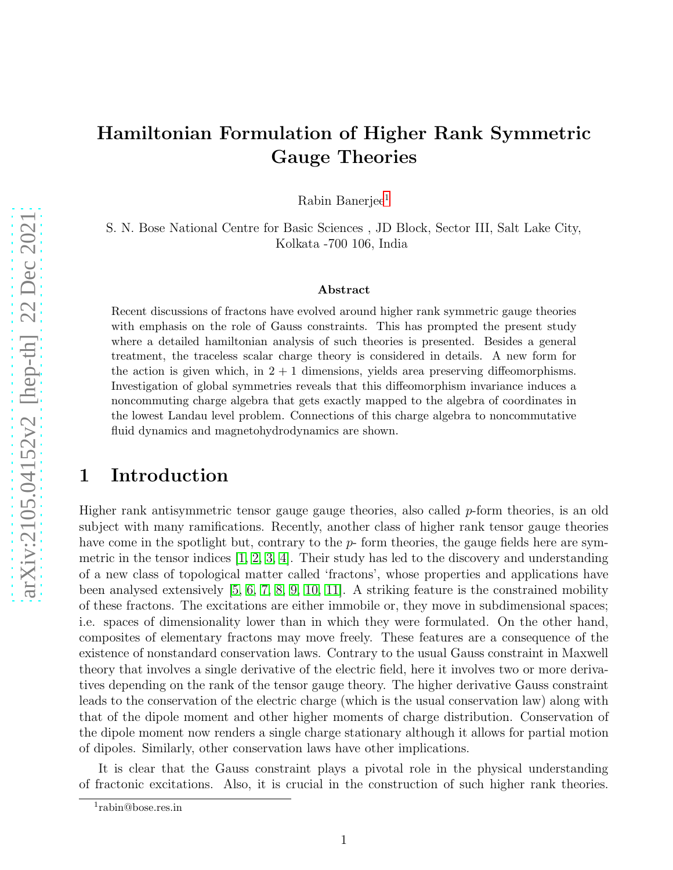## Hamiltonian Formulation of Higher Rank Symmetric Gauge Theories

Rabin Banerjee<sup>[1](#page-0-0)</sup>

S. N. Bose National Centre for Basic Sciences , JD Block, Sector III, Salt Lake City, Kolkata -700 106, India

#### Abstract

Recent discussions of fractons have evolved around higher rank symmetric gauge theories with emphasis on the role of Gauss constraints. This has prompted the present study where a detailed hamiltonian analysis of such theories is presented. Besides a general treatment, the traceless scalar charge theory is considered in details. A new form for the action is given which, in  $2 + 1$  dimensions, yields area preserving diffeomorphisms. Investigation of global symmetries reveals that this diffeomorphism invariance induces a noncommuting charge algebra that gets exactly mapped to the algebra of coordinates in the lowest Landau level problem. Connections of this charge algebra to noncommutative fluid dynamics and magnetohydrodynamics are shown.

## 1 Introduction

Higher rank antisymmetric tensor gauge gauge theories, also called p-form theories, is an old subject with many ramifications. Recently, another class of higher rank tensor gauge theories have come in the spotlight but, contrary to the  $p$ - form theories, the gauge fields here are symmetric in the tensor indices  $[1, 2, 3, 4]$  $[1, 2, 3, 4]$  $[1, 2, 3, 4]$  $[1, 2, 3, 4]$ . Their study has led to the discovery and understanding of a new class of topological matter called 'fractons', whose properties and applications have been analysed extensively [\[5,](#page-19-4) [6,](#page-20-0) [7,](#page-20-1) [8,](#page-20-2) [9,](#page-20-3) [10,](#page-20-4) [11\]](#page-20-5). A striking feature is the constrained mobility of these fractons. The excitations are either immobile or, they move in subdimensional spaces; i.e. spaces of dimensionality lower than in which they were formulated. On the other hand, composites of elementary fractons may move freely. These features are a consequence of the existence of nonstandard conservation laws. Contrary to the usual Gauss constraint in Maxwell theory that involves a single derivative of the electric field, here it involves two or more derivatives depending on the rank of the tensor gauge theory. The higher derivative Gauss constraint leads to the conservation of the electric charge (which is the usual conservation law) along with that of the dipole moment and other higher moments of charge distribution. Conservation of the dipole moment now renders a single charge stationary although it allows for partial motion of dipoles. Similarly, other conservation laws have other implications.

It is clear that the Gauss constraint plays a pivotal role in the physical understanding of fractonic excitations. Also, it is crucial in the construction of such higher rank theories.

<span id="page-0-0"></span><sup>1</sup> rabin@bose.res.in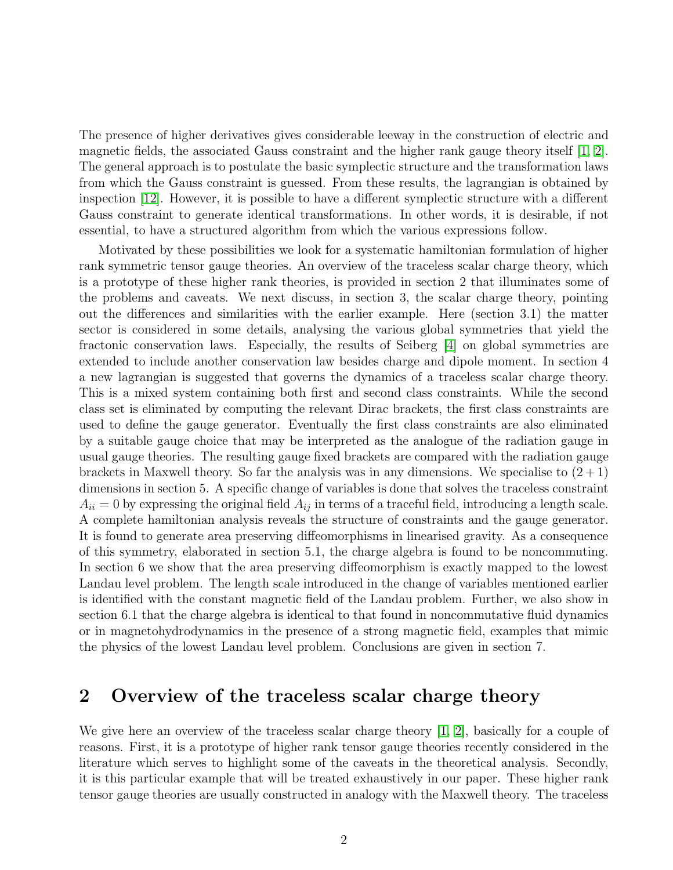The presence of higher derivatives gives considerable leeway in the construction of electric and magnetic fields, the associated Gauss constraint and the higher rank gauge theory itself [\[1,](#page-19-0) [2\]](#page-19-1). The general approach is to postulate the basic symplectic structure and the transformation laws from which the Gauss constraint is guessed. From these results, the lagrangian is obtained by inspection [\[12\]](#page-20-6). However, it is possible to have a different symplectic structure with a different Gauss constraint to generate identical transformations. In other words, it is desirable, if not essential, to have a structured algorithm from which the various expressions follow.

Motivated by these possibilities we look for a systematic hamiltonian formulation of higher rank symmetric tensor gauge theories. An overview of the traceless scalar charge theory, which is a prototype of these higher rank theories, is provided in section 2 that illuminates some of the problems and caveats. We next discuss, in section 3, the scalar charge theory, pointing out the differences and similarities with the earlier example. Here (section 3.1) the matter sector is considered in some details, analysing the various global symmetries that yield the fractonic conservation laws. Especially, the results of Seiberg [\[4\]](#page-19-3) on global symmetries are extended to include another conservation law besides charge and dipole moment. In section 4 a new lagrangian is suggested that governs the dynamics of a traceless scalar charge theory. This is a mixed system containing both first and second class constraints. While the second class set is eliminated by computing the relevant Dirac brackets, the first class constraints are used to define the gauge generator. Eventually the first class constraints are also eliminated by a suitable gauge choice that may be interpreted as the analogue of the radiation gauge in usual gauge theories. The resulting gauge fixed brackets are compared with the radiation gauge brackets in Maxwell theory. So far the analysis was in any dimensions. We specialise to  $(2+1)$ dimensions in section 5. A specific change of variables is done that solves the traceless constraint  $A_{ii} = 0$  by expressing the original field  $A_{ij}$  in terms of a traceful field, introducing a length scale. A complete hamiltonian analysis reveals the structure of constraints and the gauge generator. It is found to generate area preserving diffeomorphisms in linearised gravity. As a consequence of this symmetry, elaborated in section 5.1, the charge algebra is found to be noncommuting. In section 6 we show that the area preserving diffeomorphism is exactly mapped to the lowest Landau level problem. The length scale introduced in the change of variables mentioned earlier is identified with the constant magnetic field of the Landau problem. Further, we also show in section 6.1 that the charge algebra is identical to that found in noncommutative fluid dynamics or in magnetohydrodynamics in the presence of a strong magnetic field, examples that mimic the physics of the lowest Landau level problem. Conclusions are given in section 7.

## 2 Overview of the traceless scalar charge theory

We give here an overview of the traceless scalar charge theory [\[1,](#page-19-0) [2\]](#page-19-1), basically for a couple of reasons. First, it is a prototype of higher rank tensor gauge theories recently considered in the literature which serves to highlight some of the caveats in the theoretical analysis. Secondly, it is this particular example that will be treated exhaustively in our paper. These higher rank tensor gauge theories are usually constructed in analogy with the Maxwell theory. The traceless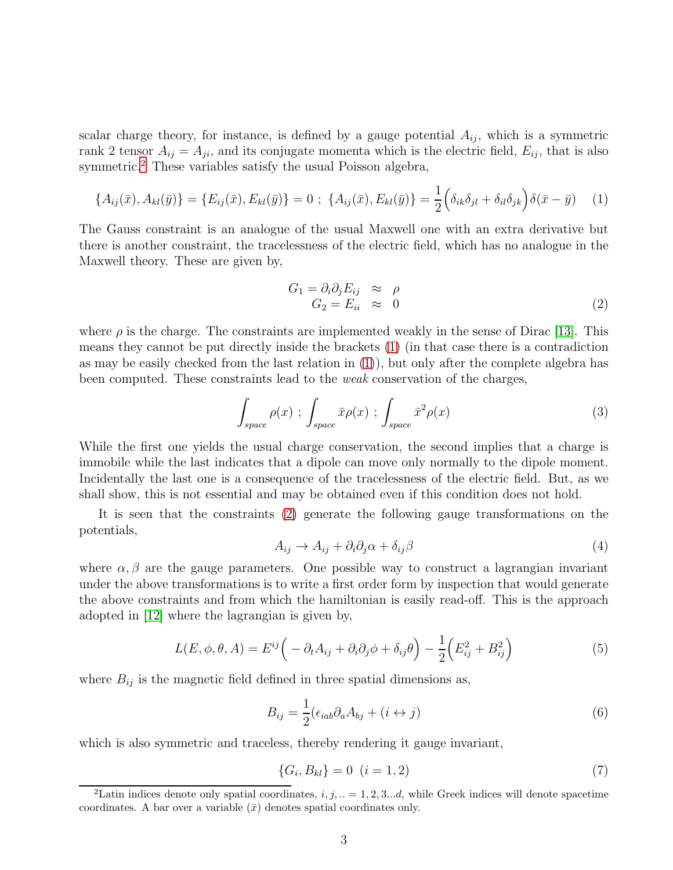scalar charge theory, for instance, is defined by a gauge potential  $A_{ij}$ , which is a symmetric rank 2 tensor  $A_{ij} = A_{ji}$ , and its conjugate momenta which is the electric field,  $E_{ij}$ , that is also symmetric.<sup>[2](#page-2-0)</sup> These variables satisfy the usual Poisson algebra,

$$
\{A_{ij}(\bar{x}), A_{kl}(\bar{y})\} = \{E_{ij}(\bar{x}), E_{kl}(\bar{y})\} = 0 \; ; \; \{A_{ij}(\bar{x}), E_{kl}(\bar{y})\} = \frac{1}{2} \Big(\delta_{ik}\delta_{jl} + \delta_{il}\delta_{jk}\Big)\delta(\bar{x} - \bar{y}) \tag{1}
$$

The Gauss constraint is an analogue of the usual Maxwell one with an extra derivative but there is another constraint, the tracelessness of the electric field, which has no analogue in the Maxwell theory. These are given by,

<span id="page-2-4"></span><span id="page-2-2"></span><span id="page-2-1"></span>
$$
G_1 = \partial_i \partial_j E_{ij} \approx \rho
$$
  
\n
$$
G_2 = E_{ii} \approx 0
$$
\n(2)

where  $\rho$  is the charge. The constraints are implemented weakly in the sense of Dirac [\[13\]](#page-20-7). This means they cannot be put directly inside the brackets [\(1\)](#page-2-1) (in that case there is a contradiction as may be easily checked from the last relation in [\(1\)](#page-2-1)), but only after the complete algebra has been computed. These constraints lead to the weak conservation of the charges,

$$
\int_{space} \rho(x) ; \int_{space} \bar{x} \rho(x) ; \int_{space} (\bar{x})
$$
 (3)

While the first one yields the usual charge conservation, the second implies that a charge is immobile while the last indicates that a dipole can move only normally to the dipole moment. Incidentally the last one is a consequence of the tracelessness of the electric field. But, as we shall show, this is not essential and may be obtained even if this condition does not hold.

<span id="page-2-5"></span>It is seen that the constraints [\(2\)](#page-2-2) generate the following gauge transformations on the potentials,

<span id="page-2-3"></span>
$$
A_{ij} \to A_{ij} + \partial_i \partial_j \alpha + \delta_{ij} \beta \tag{4}
$$

where  $\alpha, \beta$  are the gauge parameters. One possible way to construct a lagrangian invariant under the above transformations is to write a first order form by inspection that would generate the above constraints and from which the hamiltonian is easily read-off. This is the approach adopted in [\[12\]](#page-20-6) where the lagrangian is given by,

$$
L(E, \phi, \theta, A) = E^{ij} \left( -\partial_t A_{ij} + \partial_i \partial_j \phi + \delta_{ij} \theta \right) - \frac{1}{2} \left( E_{ij}^2 + B_{ij}^2 \right)
$$
(5)

where  $B_{ij}$  is the magnetic field defined in three spatial dimensions as,

$$
B_{ij} = \frac{1}{2} (\epsilon_{iab} \partial_a A_{bj} + (i \leftrightarrow j) \tag{6}
$$

which is also symmetric and traceless, thereby rendering it gauge invariant,

$$
\{G_i, B_{kl}\} = 0 \quad (i = 1, 2)
$$
\n<sup>(7)</sup>

<span id="page-2-0"></span><sup>&</sup>lt;sup>2</sup>Latin indices denote only spatial coordinates,  $i, j, ... = 1, 2, 3...d$ , while Greek indices will denote spacetime coordinates. A bar over a variable  $(\bar{x})$  denotes spatial coordinates only.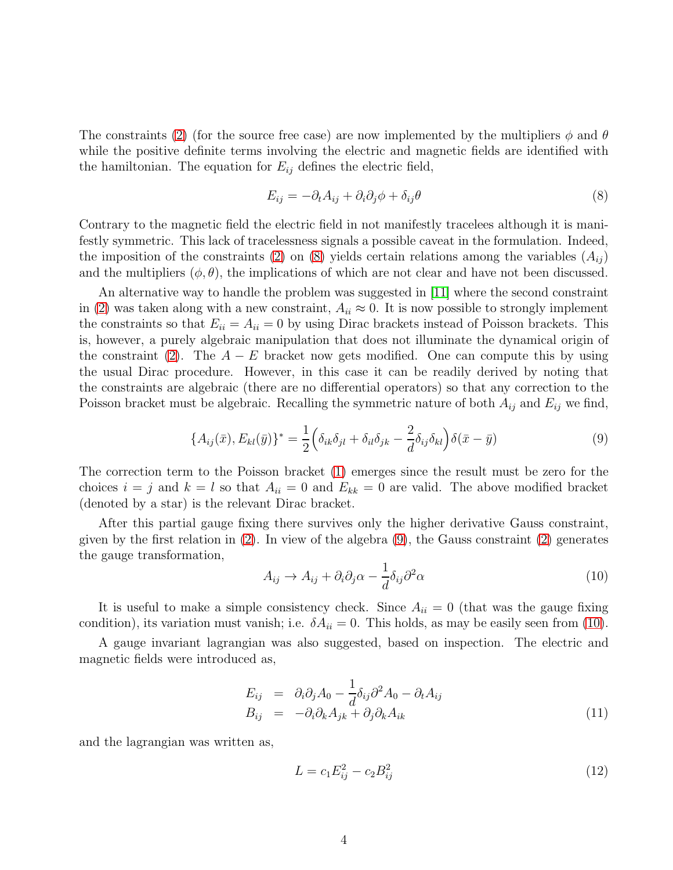The constraints [\(2\)](#page-2-2) (for the source free case) are now implemented by the multipliers  $\phi$  and  $\theta$ while the positive definite terms involving the electric and magnetic fields are identified with the hamiltonian. The equation for  $E_{ij}$  defines the electric field,

<span id="page-3-0"></span>
$$
E_{ij} = -\partial_t A_{ij} + \partial_i \partial_j \phi + \delta_{ij} \theta \tag{8}
$$

Contrary to the magnetic field the electric field in not manifestly tracelees although it is manifestly symmetric. This lack of tracelessness signals a possible caveat in the formulation. Indeed, the imposition of the constraints [\(2\)](#page-2-2) on [\(8\)](#page-3-0) yields certain relations among the variables  $(A_{ij})$ and the multipliers  $(\phi, \theta)$ , the implications of which are not clear and have not been discussed.

An alternative way to handle the problem was suggested in [\[11\]](#page-20-5) where the second constraint in [\(2\)](#page-2-2) was taken along with a new constraint,  $A_{ii} \approx 0$ . It is now possible to strongly implement the constraints so that  $E_{ii} = A_{ii} = 0$  by using Dirac brackets instead of Poisson brackets. This is, however, a purely algebraic manipulation that does not illuminate the dynamical origin of the constraint [\(2\)](#page-2-2). The  $A - E$  bracket now gets modified. One can compute this by using the usual Dirac procedure. However, in this case it can be readily derived by noting that the constraints are algebraic (there are no differential operators) so that any correction to the Poisson bracket must be algebraic. Recalling the symmetric nature of both  $A_{ij}$  and  $E_{ij}$  we find,

$$
\{A_{ij}(\bar{x}), E_{kl}(\bar{y})\}^* = \frac{1}{2} \left(\delta_{ik}\delta_{jl} + \delta_{il}\delta_{jk} - \frac{2}{d}\delta_{ij}\delta_{kl}\right) \delta(\bar{x} - \bar{y})
$$
\n(9)

The correction term to the Poisson bracket [\(1\)](#page-2-1) emerges since the result must be zero for the choices  $i = j$  and  $k = l$  so that  $A_{ii} = 0$  and  $E_{kk} = 0$  are valid. The above modified bracket (denoted by a star) is the relevant Dirac bracket.

After this partial gauge fixing there survives only the higher derivative Gauss constraint, given by the first relation in  $(2)$ . In view of the algebra  $(9)$ , the Gauss constraint  $(2)$  generates the gauge transformation,

<span id="page-3-2"></span><span id="page-3-1"></span>
$$
A_{ij} \to A_{ij} + \partial_i \partial_j \alpha - \frac{1}{d} \delta_{ij} \partial^2 \alpha \tag{10}
$$

It is useful to make a simple consistency check. Since  $A_{ii} = 0$  (that was the gauge fixing condition), its variation must vanish; i.e.  $\delta A_{ii} = 0$ . This holds, as may be easily seen from [\(10\)](#page-3-2).

A gauge invariant lagrangian was also suggested, based on inspection. The electric and magnetic fields were introduced as,

<span id="page-3-4"></span>
$$
E_{ij} = \partial_i \partial_j A_0 - \frac{1}{d} \delta_{ij} \partial^2 A_0 - \partial_t A_{ij}
$$
  
\n
$$
B_{ij} = -\partial_i \partial_k A_{jk} + \partial_j \partial_k A_{ik}
$$
\n(11)

and the lagrangian was written as,

<span id="page-3-3"></span>
$$
L = c_1 E_{ij}^2 - c_2 B_{ij}^2 \tag{12}
$$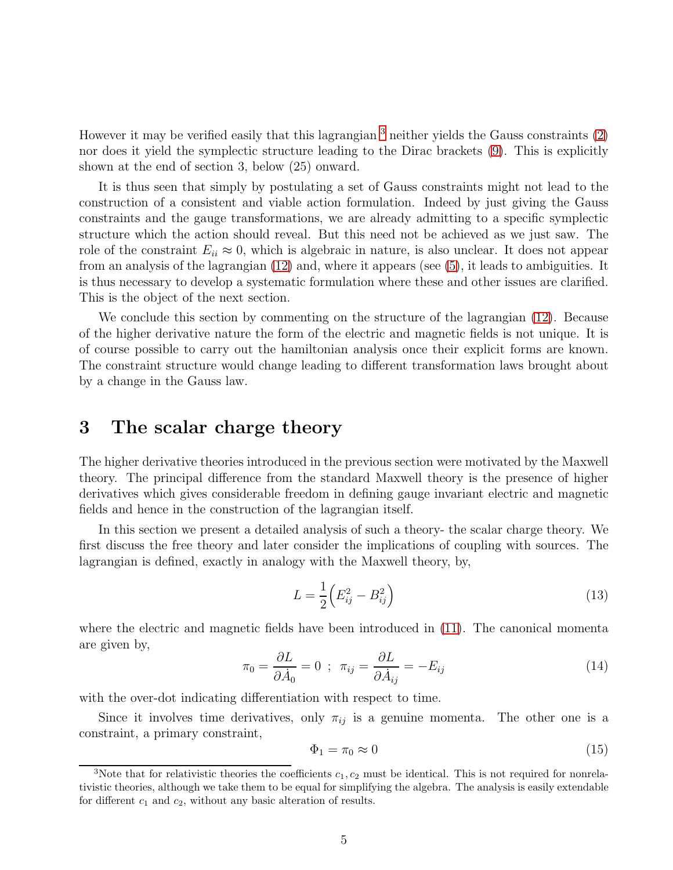However it may be verified easily that this lagrangian  $3$  neither yields the Gauss constraints  $(2)$ nor does it yield the symplectic structure leading to the Dirac brackets [\(9\)](#page-3-1). This is explicitly shown at the end of section 3, below (25) onward.

It is thus seen that simply by postulating a set of Gauss constraints might not lead to the construction of a consistent and viable action formulation. Indeed by just giving the Gauss constraints and the gauge transformations, we are already admitting to a specific symplectic structure which the action should reveal. But this need not be achieved as we just saw. The role of the constraint  $E_{ii} \approx 0$ , which is algebraic in nature, is also unclear. It does not appear from an analysis of the lagrangian [\(12\)](#page-3-3) and, where it appears (see [\(5\)](#page-2-3), it leads to ambiguities. It is thus necessary to develop a systematic formulation where these and other issues are clarified. This is the object of the next section.

We conclude this section by commenting on the structure of the lagrangian [\(12\)](#page-3-3). Because of the higher derivative nature the form of the electric and magnetic fields is not unique. It is of course possible to carry out the hamiltonian analysis once their explicit forms are known. The constraint structure would change leading to different transformation laws brought about by a change in the Gauss law.

## 3 The scalar charge theory

The higher derivative theories introduced in the previous section were motivated by the Maxwell theory. The principal difference from the standard Maxwell theory is the presence of higher derivatives which gives considerable freedom in defining gauge invariant electric and magnetic fields and hence in the construction of the lagrangian itself.

In this section we present a detailed analysis of such a theory- the scalar charge theory. We first discuss the free theory and later consider the implications of coupling with sources. The lagrangian is defined, exactly in analogy with the Maxwell theory, by,

<span id="page-4-1"></span>
$$
L = \frac{1}{2} \left( E_{ij}^2 - B_{ij}^2 \right) \tag{13}
$$

where the electric and magnetic fields have been introduced in [\(11\)](#page-3-4). The canonical momenta are given by,

$$
\pi_0 = \frac{\partial L}{\partial \dot{A}_0} = 0 \; ; \; \; \pi_{ij} = \frac{\partial L}{\partial \dot{A}_{ij}} = -E_{ij} \tag{14}
$$

with the over-dot indicating differentiation with respect to time.

Since it involves time derivatives, only  $\pi_{ij}$  is a genuine momenta. The other one is a constraint, a primary constraint,

$$
\Phi_1 = \pi_0 \approx 0 \tag{15}
$$

<span id="page-4-0"></span><sup>&</sup>lt;sup>3</sup>Note that for relativistic theories the coefficients  $c_1, c_2$  must be identical. This is not required for nonrelativistic theories, although we take them to be equal for simplifying the algebra. The analysis is easily extendable for different  $c_1$  and  $c_2$ , without any basic alteration of results.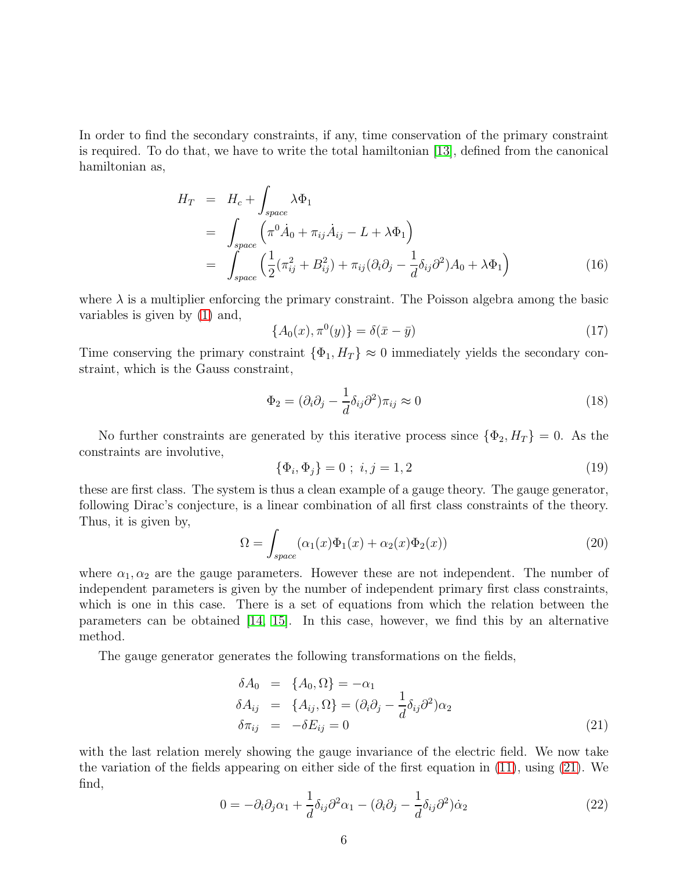In order to find the secondary constraints, if any, time conservation of the primary constraint is required. To do that, we have to write the total hamiltonian [\[13\]](#page-20-7), defined from the canonical hamiltonian as,

$$
H_T = H_c + \int_{space} \lambda \Phi_1
$$
  
= 
$$
\int_{space} (\pi^0 \dot{A}_0 + \pi_{ij} \dot{A}_{ij} - L + \lambda \Phi_1)
$$
  
= 
$$
\int_{space} (\frac{1}{2} (\pi_{ij}^2 + B_{ij}^2) + \pi_{ij} (\partial_i \partial_j - \frac{1}{d} \delta_{ij} \partial^2) A_0 + \lambda \Phi_1)
$$
 (16)

where  $\lambda$  is a multiplier enforcing the primary constraint. The Poisson algebra among the basic variables is given by [\(1\)](#page-2-1) and,

$$
\{A_0(x), \pi^0(y)\} = \delta(\bar{x} - \bar{y})
$$
\n(17)

Time conserving the primary constraint  $\{\Phi_1, H_T\} \approx 0$  immediately yields the secondary constraint, which is the Gauss constraint,

<span id="page-5-1"></span>
$$
\Phi_2 = (\partial_i \partial_j - \frac{1}{d} \delta_{ij} \partial^2) \pi_{ij} \approx 0 \tag{18}
$$

No further constraints are generated by this iterative process since  $\{\Phi_2, H_T\} = 0$ . As the constraints are involutive,

$$
\{\Phi_i, \Phi_j\} = 0 \; ; \; i, j = 1, 2 \tag{19}
$$

these are first class. The system is thus a clean example of a gauge theory. The gauge generator, following Dirac's conjecture, is a linear combination of all first class constraints of the theory. Thus, it is given by,

$$
\Omega = \int_{space} (\alpha_1(x)\Phi_1(x) + \alpha_2(x)\Phi_2(x))
$$
\n(20)

where  $\alpha_1, \alpha_2$  are the gauge parameters. However these are not independent. The number of independent parameters is given by the number of independent primary first class constraints, which is one in this case. There is a set of equations from which the relation between the parameters can be obtained [\[14,](#page-20-8) [15\]](#page-20-9). In this case, however, we find this by an alternative method.

The gauge generator generates the following transformations on the fields,

<span id="page-5-0"></span>
$$
\delta A_0 = \{A_0, \Omega\} = -\alpha_1
$$
  
\n
$$
\delta A_{ij} = \{A_{ij}, \Omega\} = (\partial_i \partial_j - \frac{1}{d} \delta_{ij} \partial^2) \alpha_2
$$
  
\n
$$
\delta \pi_{ij} = -\delta E_{ij} = 0
$$
\n(21)

with the last relation merely showing the gauge invariance of the electric field. We now take the variation of the fields appearing on either side of the first equation in [\(11\)](#page-3-4), using [\(21\)](#page-5-0). We find,

$$
0 = -\partial_i \partial_j \alpha_1 + \frac{1}{d} \delta_{ij} \partial^2 \alpha_1 - (\partial_i \partial_j - \frac{1}{d} \delta_{ij} \partial^2) \dot{\alpha}_2 \tag{22}
$$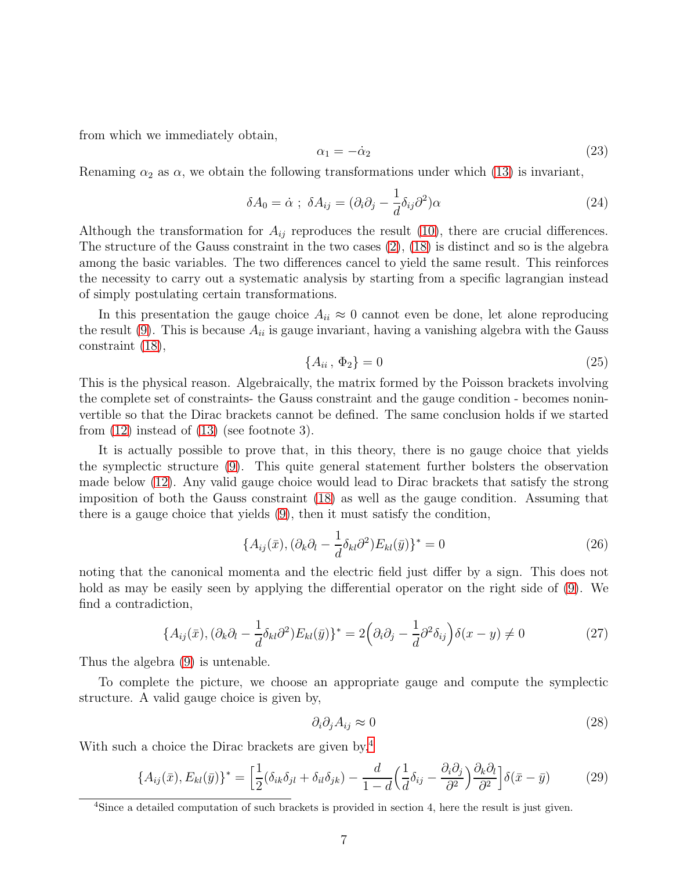from which we immediately obtain,

<span id="page-6-2"></span>
$$
\alpha_1 = -\dot{\alpha}_2 \tag{23}
$$

Renaming  $\alpha_2$  as  $\alpha$ , we obtain the following transformations under which [\(13\)](#page-4-1) is invariant,

$$
\delta A_0 = \dot{\alpha} \; ; \; \delta A_{ij} = (\partial_i \partial_j - \frac{1}{d} \delta_{ij} \partial^2) \alpha \tag{24}
$$

Although the transformation for  $A_{ij}$  reproduces the result [\(10\)](#page-3-2), there are crucial differences. The structure of the Gauss constraint in the two cases [\(2\)](#page-2-2), [\(18\)](#page-5-1) is distinct and so is the algebra among the basic variables. The two differences cancel to yield the same result. This reinforces the necessity to carry out a systematic analysis by starting from a specific lagrangian instead of simply postulating certain transformations.

In this presentation the gauge choice  $A_{ii} \approx 0$  cannot even be done, let alone reproducing the result  $(9)$ . This is because  $A_{ii}$  is gauge invariant, having a vanishing algebra with the Gauss constraint [\(18\)](#page-5-1),

$$
\{A_{ii}\,,\,\Phi_2\} = 0\tag{25}
$$

This is the physical reason. Algebraically, the matrix formed by the Poisson brackets involving the complete set of constraints- the Gauss constraint and the gauge condition - becomes noninvertible so that the Dirac brackets cannot be defined. The same conclusion holds if we started from [\(12\)](#page-3-3) instead of [\(13\)](#page-4-1) (see footnote 3).

It is actually possible to prove that, in this theory, there is no gauge choice that yields the symplectic structure [\(9\)](#page-3-1). This quite general statement further bolsters the observation made below [\(12\)](#page-3-3). Any valid gauge choice would lead to Dirac brackets that satisfy the strong imposition of both the Gauss constraint [\(18\)](#page-5-1) as well as the gauge condition. Assuming that there is a gauge choice that yields [\(9\)](#page-3-1), then it must satisfy the condition,

$$
\{A_{ij}(\bar{x}), (\partial_k \partial_l - \frac{1}{d} \delta_{kl} \partial^2) E_{kl}(\bar{y})\}^* = 0
$$
\n(26)

noting that the canonical momenta and the electric field just differ by a sign. This does not hold as may be easily seen by applying the differential operator on the right side of [\(9\)](#page-3-1). We find a contradiction,

$$
\{A_{ij}(\bar{x}), (\partial_k \partial_l - \frac{1}{d} \delta_{kl} \partial^2) E_{kl}(\bar{y})\}^* = 2(\partial_i \partial_j - \frac{1}{d} \partial^2 \delta_{ij})\delta(x - y) \neq 0
$$
\n(27)

Thus the algebra [\(9\)](#page-3-1) is untenable.

To complete the picture, we choose an appropriate gauge and compute the symplectic structure. A valid gauge choice is given by,

<span id="page-6-1"></span>
$$
\partial_i \partial_j A_{ij} \approx 0 \tag{28}
$$

With such a choice the Dirac brackets are given by,<sup>[4](#page-6-0)</sup>

$$
\{A_{ij}(\bar{x}), E_{kl}(\bar{y})\}^* = \left[\frac{1}{2}(\delta_{ik}\delta_{jl} + \delta_{il}\delta_{jk}) - \frac{d}{1-d}\left(\frac{1}{d}\delta_{ij} - \frac{\partial_i\partial_j}{\partial^2}\right)\frac{\partial_k\partial_l}{\partial^2}\right]\delta(\bar{x} - \bar{y})\tag{29}
$$

<span id="page-6-0"></span><sup>&</sup>lt;sup>4</sup>Since a detailed computation of such brackets is provided in section 4, here the result is just given.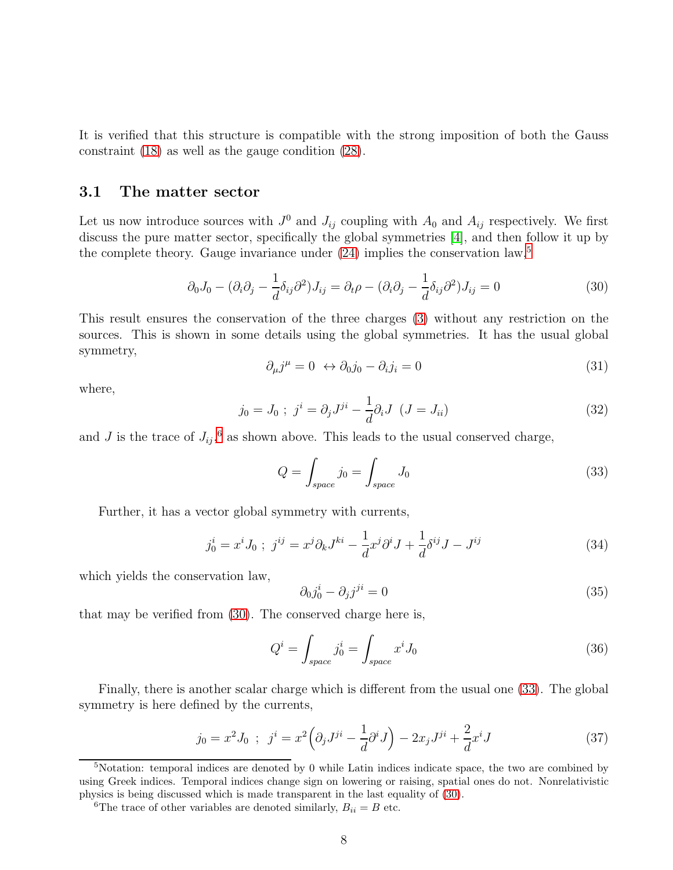It is verified that this structure is compatible with the strong imposition of both the Gauss constraint [\(18\)](#page-5-1) as well as the gauge condition [\(28\)](#page-6-1).

#### 3.1 The matter sector

Let us now introduce sources with  $J^0$  and  $J_{ij}$  coupling with  $A_0$  and  $A_{ij}$  respectively. We first discuss the pure matter sector, specifically the global symmetries [\[4\]](#page-19-3), and then follow it up by the complete theory. Gauge invariance under  $(24)$  implies the conservation law,<sup>[5](#page-7-0)</sup>

$$
\partial_0 J_0 - (\partial_i \partial_j - \frac{1}{d} \delta_{ij} \partial^2) J_{ij} = \partial_t \rho - (\partial_i \partial_j - \frac{1}{d} \delta_{ij} \partial^2) J_{ij} = 0
$$
\n(30)

<span id="page-7-4"></span>This result ensures the conservation of the three charges [\(3\)](#page-2-4) without any restriction on the sources. This is shown in some details using the global symmetries. It has the usual global symmetry,

<span id="page-7-2"></span>
$$
\partial_{\mu}j^{\mu} = 0 \leftrightarrow \partial_{0}j_{0} - \partial_{i}j_{i} = 0 \tag{31}
$$

<span id="page-7-6"></span>where,

$$
j_0 = J_0 \; ; \; j^i = \partial_j J^{ji} - \frac{1}{d} \partial_i J \; (J = J_{ii}) \tag{32}
$$

and J is the trace of  $J_{ij}$ ,<sup>[6](#page-7-1)</sup> as shown above. This leads to the usual conserved charge,

<span id="page-7-3"></span>
$$
Q = \int_{space} j_0 = \int_{space} J_0 \tag{33}
$$

Further, it has a vector global symmetry with currents,

$$
j_0^i = x^i J_0 \; ; \; j^{ij} = x^j \partial_k J^{ki} - \frac{1}{d} x^j \partial^i J + \frac{1}{d} \delta^{ij} J - J^{ij} \tag{34}
$$

which yields the conservation law,

<span id="page-7-5"></span>
$$
\partial_0 j_0^i - \partial_j j^{ji} = 0 \tag{35}
$$

that may be verified from [\(30\)](#page-7-2). The conserved charge here is,

$$
Q^i = \int_{space} j_0^i = \int_{space} x^i J_0
$$
\n(36)

Finally, there is another scalar charge which is different from the usual one [\(33\)](#page-7-3). The global symmetry is here defined by the currents,

$$
j_0 = x^2 J_0 \; ; \; j^i = x^2 \left( \partial_j J^{ji} - \frac{1}{d} \partial^i J \right) - 2x_j J^{ji} + \frac{2}{d} x^i J \tag{37}
$$

<span id="page-7-0"></span><sup>5</sup>Notation: temporal indices are denoted by 0 while Latin indices indicate space, the two are combined by using Greek indices. Temporal indices change sign on lowering or raising, spatial ones do not. Nonrelativistic physics is being discussed which is made transparent in the last equality of [\(30\)](#page-7-2).

<span id="page-7-1"></span><sup>&</sup>lt;sup>6</sup>The trace of other variables are denoted similarly,  $B_{ii} = B$  etc.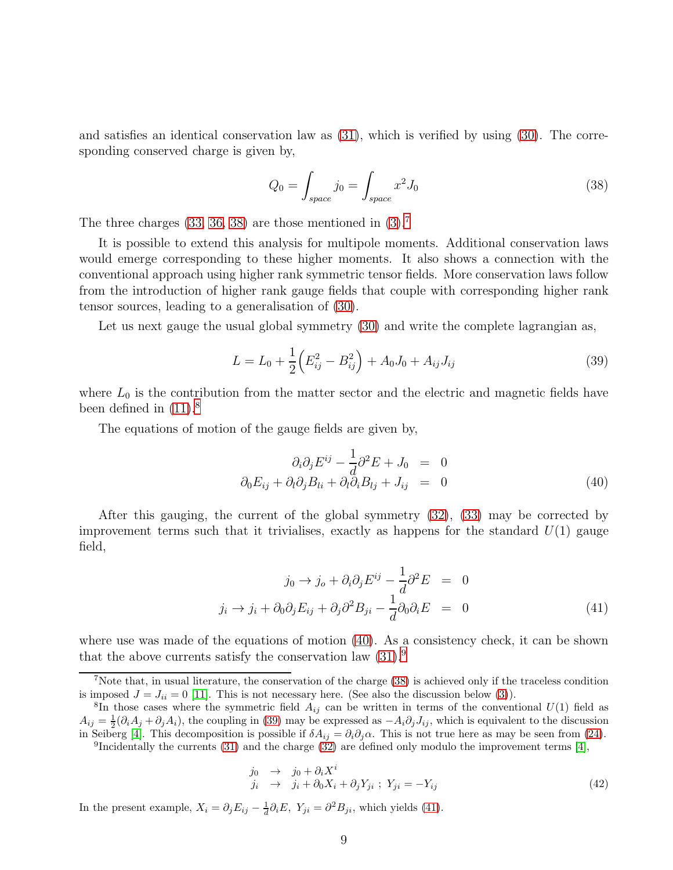and satisfies an identical conservation law as [\(31\)](#page-7-4), which is verified by using [\(30\)](#page-7-2). The corresponding conserved charge is given by,

<span id="page-8-5"></span><span id="page-8-0"></span>
$$
Q_0 = \int_{space} j_0 = \int_{space} x^2 J_0
$$
 (38)

The three charges  $(33, 36, 38)$  $(33, 36, 38)$  $(33, 36, 38)$  are those mentioned in  $(3)$ .<sup>[7](#page-8-1)</sup>

It is possible to extend this analysis for multipole moments. Additional conservation laws would emerge corresponding to these higher moments. It also shows a connection with the conventional approach using higher rank symmetric tensor fields. More conservation laws follow from the introduction of higher rank gauge fields that couple with corresponding higher rank tensor sources, leading to a generalisation of [\(30\)](#page-7-2).

Let us next gauge the usual global symmetry  $(30)$  and write the complete lagrangian as,

$$
L = L_0 + \frac{1}{2} \left( E_{ij}^2 - B_{ij}^2 \right) + A_0 J_0 + A_{ij} J_{ij}
$$
\n(39)

where  $L_0$  is the contribution from the matter sector and the electric and magnetic fields have been defined in  $(11).<sup>8</sup>$  $(11).<sup>8</sup>$  $(11).<sup>8</sup>$ 

The equations of motion of the gauge fields are given by,

<span id="page-8-3"></span>
$$
\partial_i \partial_j E^{ij} - \frac{1}{d} \partial^2 E + J_0 = 0
$$
  

$$
\partial_0 E_{ij} + \partial_l \partial_j B_{li} + \partial_l \partial_i B_{lj} + J_{ij} = 0
$$
 (40)

After this gauging, the current of the global symmetry [\(32\)](#page-7-6), [\(33\)](#page-7-3) may be corrected by improvement terms such that it trivialises, exactly as happens for the standard  $U(1)$  gauge field,

<span id="page-8-6"></span>
$$
j_0 \to j_o + \partial_i \partial_j E^{ij} - \frac{1}{d} \partial^2 E = 0
$$
  

$$
j_i \to j_i + \partial_0 \partial_j E_{ij} + \partial_j \partial^2 B_{ji} - \frac{1}{d} \partial_0 \partial_i E = 0
$$
 (41)

where use was made of the equations of motion [\(40\)](#page-8-3). As a consistency check, it can be shown that the above currents satisfy the conservation law  $(31)$ .<sup>[9](#page-8-4)</sup>

<span id="page-8-4"></span><sup>9</sup>Incidentally the currents [\(31\)](#page-7-4) and the charge [\(32\)](#page-7-6) are defined only modulo the improvement terms [\[4\]](#page-19-3),

$$
\begin{array}{rcl}\nj_0 & \rightarrow & j_0 + \partial_i X^i \\
j_i & \rightarrow & j_i + \partial_0 X_i + \partial_j Y_{ji} \; ; \; Y_{ji} = -Y_{ij}\n\end{array}\n\tag{42}
$$

In the present example,  $X_i = \partial_j E_{ij} - \frac{1}{d}$  $\frac{1}{d}\partial_i E$ ,  $Y_{ji} = \partial^2 B_{ji}$ , which yields [\(41\)](#page-8-6).

<span id="page-8-1"></span><sup>7</sup>Note that, in usual literature, the conservation of the charge [\(38\)](#page-8-0) is achieved only if the traceless condition is imposed  $J = J_{ii} = 0$  [\[11\]](#page-20-5). This is not necessary here. (See also the discussion below [\(3\)](#page-2-4)).

<span id="page-8-2"></span> ${}^{8}$ In those cases where the symmetric field  $A_{ij}$  can be written in terms of the conventional  $U(1)$  field as  $A_{ij} = \frac{1}{2}(\partial_i A_j + \partial_j A_i)$ , the coupling in [\(39\)](#page-8-5) may be expressed as  $-A_i\partial_j J_{ij}$ , which is equivalent to the discussion in Seiberg [\[4\]](#page-19-3). This decomposition is possible if  $\delta A_{ij} = \partial_i \partial_j \alpha$ . This is not true here as may be seen from [\(24\)](#page-6-2).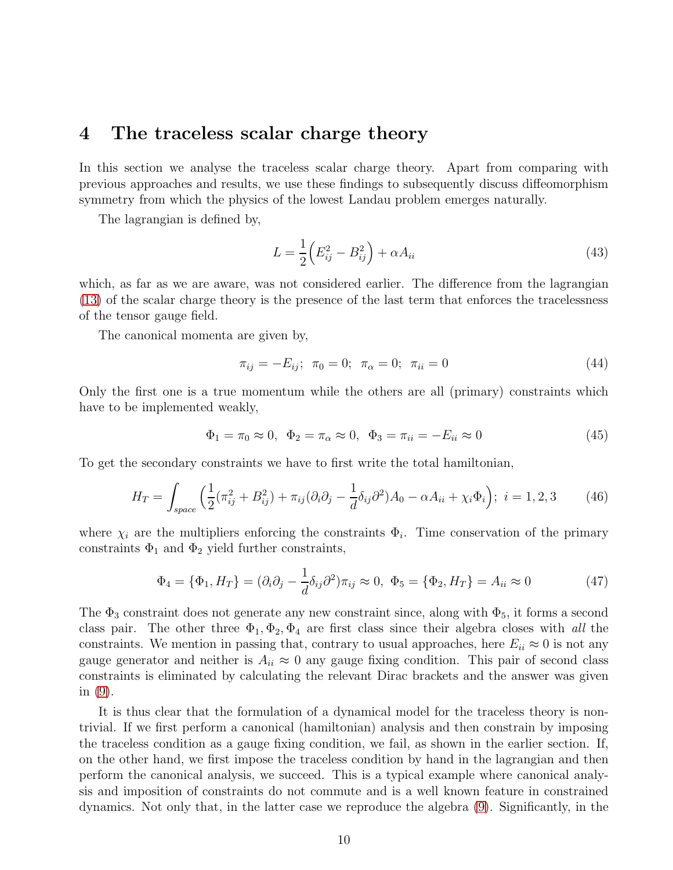## 4 The traceless scalar charge theory

In this section we analyse the traceless scalar charge theory. Apart from comparing with previous approaches and results, we use these findings to subsequently discuss diffeomorphism symmetry from which the physics of the lowest Landau problem emerges naturally.

The lagrangian is defined by,

<span id="page-9-0"></span>
$$
L = \frac{1}{2} \left( E_{ij}^2 - B_{ij}^2 \right) + \alpha A_{ii}
$$
 (43)

which, as far as we are aware, was not considered earlier. The difference from the lagrangian [\(13\)](#page-4-1) of the scalar charge theory is the presence of the last term that enforces the tracelessness of the tensor gauge field.

The canonical momenta are given by,

$$
\pi_{ij} = -E_{ij}; \ \pi_0 = 0; \ \pi_\alpha = 0; \ \pi_{ii} = 0 \tag{44}
$$

Only the first one is a true momentum while the others are all (primary) constraints which have to be implemented weakly,

$$
\Phi_1 = \pi_0 \approx 0, \ \Phi_2 = \pi_\alpha \approx 0, \ \Phi_3 = \pi_{ii} = -E_{ii} \approx 0
$$
\n(45)

To get the secondary constraints we have to first write the total hamiltonian,

$$
H_T = \int_{space} \left( \frac{1}{2} (\pi_{ij}^2 + B_{ij}^2) + \pi_{ij} (\partial_i \partial_j - \frac{1}{d} \delta_{ij} \partial^2) A_0 - \alpha A_{ii} + \chi_i \Phi_i \right); \ i = 1, 2, 3 \tag{46}
$$

where  $\chi_i$  are the multipliers enforcing the constraints  $\Phi_i$ . Time conservation of the primary constraints  $\Phi_1$  and  $\Phi_2$  yield further constraints,

$$
\Phi_4 = \{\Phi_1, H_T\} = (\partial_i \partial_j - \frac{1}{d} \delta_{ij} \partial^2) \pi_{ij} \approx 0, \ \Phi_5 = \{\Phi_2, H_T\} = A_{ii} \approx 0 \tag{47}
$$

The  $\Phi_3$  constraint does not generate any new constraint since, along with  $\Phi_5$ , it forms a second class pair. The other three  $\Phi_1, \Phi_2, \Phi_4$  are first class since their algebra closes with all the constraints. We mention in passing that, contrary to usual approaches, here  $E_{ii} \approx 0$  is not any gauge generator and neither is  $A_{ii} \approx 0$  any gauge fixing condition. This pair of second class constraints is eliminated by calculating the relevant Dirac brackets and the answer was given in [\(9\)](#page-3-1).

It is thus clear that the formulation of a dynamical model for the traceless theory is nontrivial. If we first perform a canonical (hamiltonian) analysis and then constrain by imposing the traceless condition as a gauge fixing condition, we fail, as shown in the earlier section. If, on the other hand, we first impose the traceless condition by hand in the lagrangian and then perform the canonical analysis, we succeed. This is a typical example where canonical analysis and imposition of constraints do not commute and is a well known feature in constrained dynamics. Not only that, in the latter case we reproduce the algebra [\(9\)](#page-3-1). Significantly, in the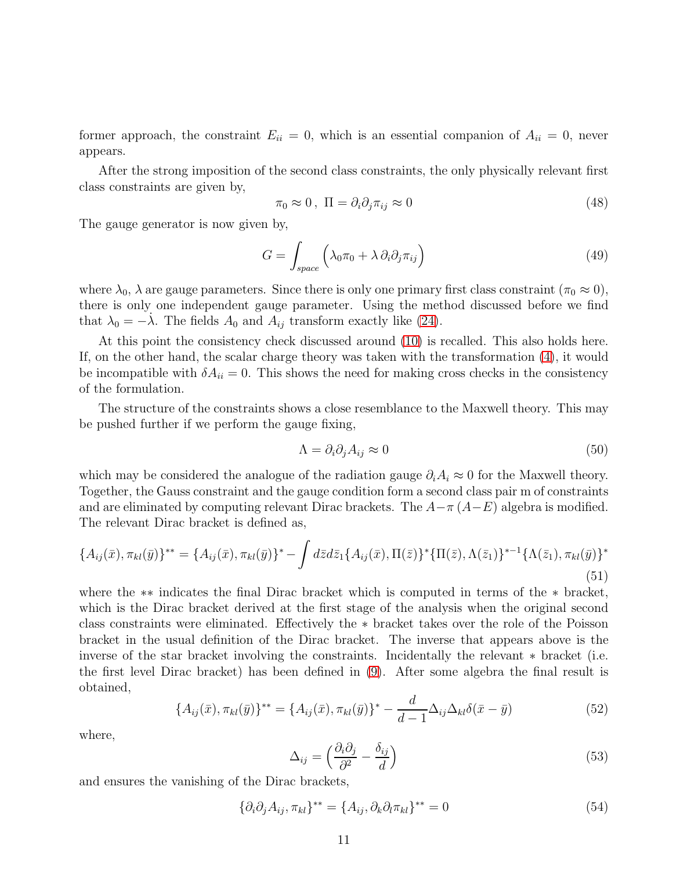former approach, the constraint  $E_{ii} = 0$ , which is an essential companion of  $A_{ii} = 0$ , never appears.

After the strong imposition of the second class constraints, the only physically relevant first class constraints are given by,

<span id="page-10-1"></span>
$$
\pi_0 \approx 0 \,, \ \Pi = \partial_i \partial_j \pi_{ij} \approx 0 \tag{48}
$$

The gauge generator is now given by,

$$
G = \int_{space} \left( \lambda_0 \pi_0 + \lambda \partial_i \partial_j \pi_{ij} \right)
$$
 (49)

where  $\lambda_0$ ,  $\lambda$  are gauge parameters. Since there is only one primary first class constraint  $(\pi_0 \approx 0)$ , there is only one independent gauge parameter. Using the method discussed before we find that  $\lambda_0 = -\lambda$ . The fields  $A_0$  and  $A_{ij}$  transform exactly like [\(24\)](#page-6-2).

At this point the consistency check discussed around [\(10\)](#page-3-2) is recalled. This also holds here. If, on the other hand, the scalar charge theory was taken with the transformation [\(4\)](#page-2-5), it would be incompatible with  $\delta A_{ii} = 0$ . This shows the need for making cross checks in the consistency of the formulation.

The structure of the constraints shows a close resemblance to the Maxwell theory. This may be pushed further if we perform the gauge fixing,

$$
\Lambda = \partial_i \partial_j A_{ij} \approx 0 \tag{50}
$$

which may be considered the analogue of the radiation gauge  $\partial_i A_i \approx 0$  for the Maxwell theory. Together, the Gauss constraint and the gauge condition form a second class pair m of constraints and are eliminated by computing relevant Dirac brackets. The  $A-\pi(A-E)$  algebra is modified. The relevant Dirac bracket is defined as,

$$
\{A_{ij}(\bar{x}), \pi_{kl}(\bar{y})\}^{**} = \{A_{ij}(\bar{x}), \pi_{kl}(\bar{y})\}^* - \int d\bar{z} d\bar{z}_1 \{A_{ij}(\bar{x}), \Pi(\bar{z})\}^* \{\Pi(\bar{z}), \Lambda(\bar{z}_1)\}^{*-1} \{\Lambda(\bar{z}_1), \pi_{kl}(\bar{y})\}^*
$$
(51)

where the ∗∗ indicates the final Dirac bracket which is computed in terms of the ∗ bracket, which is the Dirac bracket derived at the first stage of the analysis when the original second class constraints were eliminated. Effectively the ∗ bracket takes over the role of the Poisson bracket in the usual definition of the Dirac bracket. The inverse that appears above is the inverse of the star bracket involving the constraints. Incidentally the relevant ∗ bracket (i.e. the first level Dirac bracket) has been defined in [\(9\)](#page-3-1). After some algebra the final result is obtained,

<span id="page-10-0"></span>
$$
\{A_{ij}(\bar{x}), \pi_{kl}(\bar{y})\}^{**} = \{A_{ij}(\bar{x}), \pi_{kl}(\bar{y})\}^{*} - \frac{d}{d-1}\Delta_{ij}\Delta_{kl}\delta(\bar{x}-\bar{y})
$$
(52)

where,

$$
\Delta_{ij} = \left(\frac{\partial_i \partial_j}{\partial^2} - \frac{\delta_{ij}}{d}\right) \tag{53}
$$

and ensures the vanishing of the Dirac brackets,

$$
\{\partial_i \partial_j A_{ij}, \pi_{kl}\}^{**} = \{A_{ij}, \partial_k \partial_l \pi_{kl}\}^{**} = 0
$$
\n(54)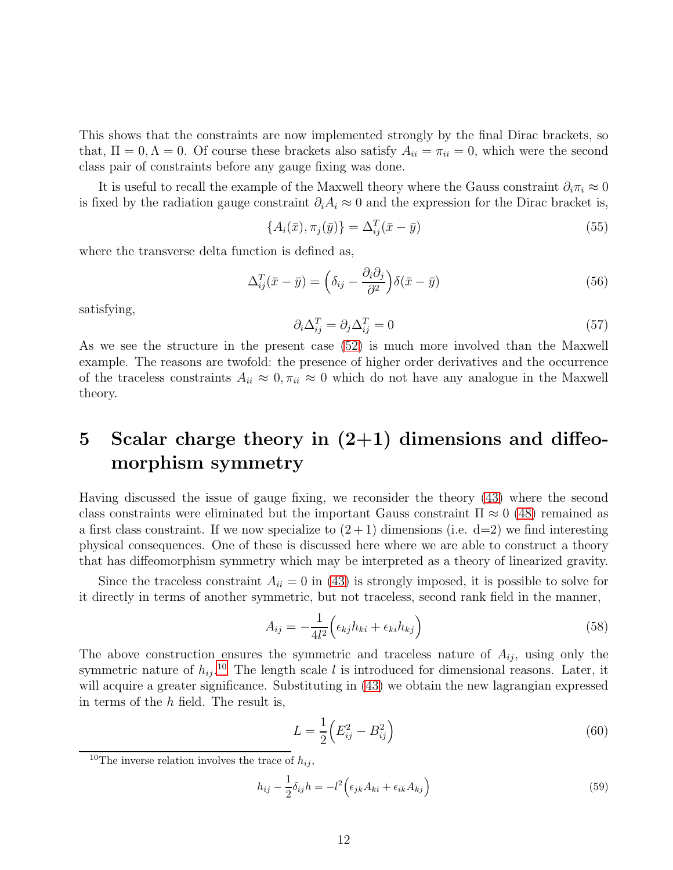This shows that the constraints are now implemented strongly by the final Dirac brackets, so that,  $\Pi = 0, \Lambda = 0$ . Of course these brackets also satisfy  $A_{ii} = \pi_{ii} = 0$ , which were the second class pair of constraints before any gauge fixing was done.

It is useful to recall the example of the Maxwell theory where the Gauss constraint  $\partial_i \pi_i \approx 0$ is fixed by the radiation gauge constraint  $\partial_i A_i \approx 0$  and the expression for the Dirac bracket is,

$$
\{A_i(\bar{x}), \pi_j(\bar{y})\} = \Delta_{ij}^T(\bar{x} - \bar{y})
$$
\n
$$
(55)
$$

where the transverse delta function is defined as,

$$
\Delta_{ij}^T(\bar{x} - \bar{y}) = \left(\delta_{ij} - \frac{\partial_i \partial_j}{\partial^2}\right) \delta(\bar{x} - \bar{y})
$$
\n(56)

satisfying,

$$
\partial_i \Delta_{ij}^T = \partial_j \Delta_{ij}^T = 0 \tag{57}
$$

As we see the structure in the present case [\(52\)](#page-10-0) is much more involved than the Maxwell example. The reasons are twofold: the presence of higher order derivatives and the occurrence of the traceless constraints  $A_{ii} \approx 0, \pi_{ii} \approx 0$  which do not have any analogue in the Maxwell theory.

# 5 Scalar charge theory in  $(2+1)$  dimensions and diffeomorphism symmetry

Having discussed the issue of gauge fixing, we reconsider the theory [\(43\)](#page-9-0) where the second class constraints were eliminated but the important Gauss constraint  $\Pi \approx 0$  [\(48\)](#page-10-1) remained as a first class constraint. If we now specialize to  $(2+1)$  dimensions (i.e.  $d=2$ ) we find interesting physical consequences. One of these is discussed here where we are able to construct a theory that has diffeomorphism symmetry which may be interpreted as a theory of linearized gravity.

Since the traceless constraint  $A_{ii} = 0$  in [\(43\)](#page-9-0) is strongly imposed, it is possible to solve for it directly in terms of another symmetric, but not traceless, second rank field in the manner,

$$
A_{ij} = -\frac{1}{4l^2} \left( \epsilon_{kj} h_{ki} + \epsilon_{ki} h_{kj} \right) \tag{58}
$$

The above construction ensures the symmetric and traceless nature of  $A_{ij}$ , using only the symmetric nature of  $h_{ij}$ <sup>[10](#page-11-0)</sup> The length scale l is introduced for dimensional reasons. Later, it will acquire a greater significance. Substituting in  $(43)$  we obtain the new lagrangian expressed in terms of the  $h$  field. The result is,

$$
L = \frac{1}{2} \left( E_{ij}^2 - B_{ij}^2 \right) \tag{60}
$$

$$
h_{ij} - \frac{1}{2}\delta_{ij}h = -l^2 \Big(\epsilon_{jk}A_{ki} + \epsilon_{ik}A_{kj}\Big)
$$
\n(59)

<span id="page-11-0"></span><sup>&</sup>lt;sup>10</sup>The inverse relation involves the trace of  $h_{ij}$ ,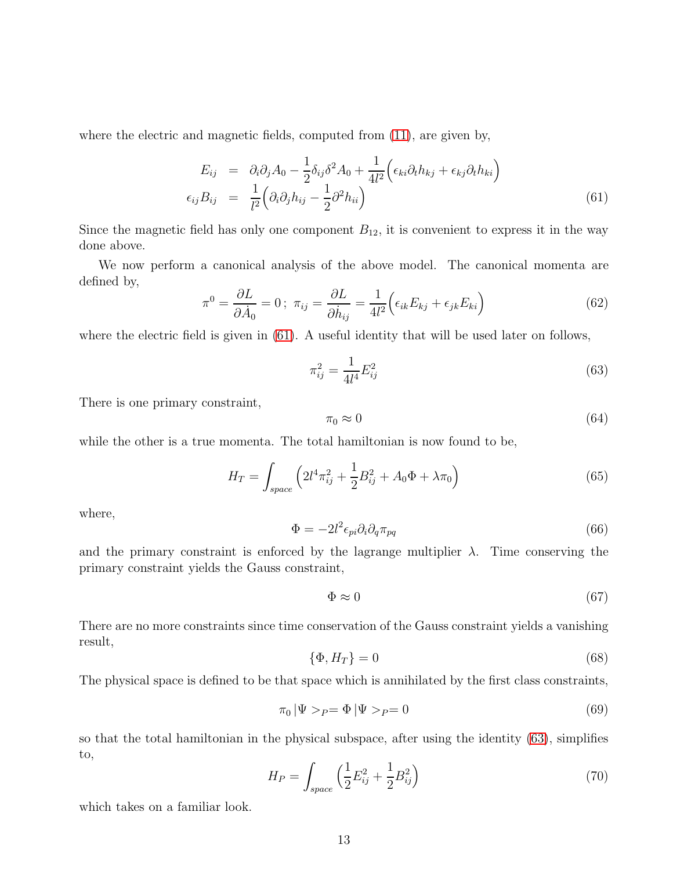where the electric and magnetic fields, computed from [\(11\)](#page-3-4), are given by,

<span id="page-12-0"></span>
$$
E_{ij} = \partial_i \partial_j A_0 - \frac{1}{2} \delta_{ij} \delta^2 A_0 + \frac{1}{4l^2} \Big( \epsilon_{ki} \partial_t h_{kj} + \epsilon_{kj} \partial_t h_{ki} \Big)
$$
  

$$
\epsilon_{ij} B_{ij} = \frac{1}{l^2} \Big( \partial_i \partial_j h_{ij} - \frac{1}{2} \partial^2 h_{ii} \Big)
$$
 (61)

Since the magnetic field has only one component  $B_{12}$ , it is convenient to express it in the way done above.

We now perform a canonical analysis of the above model. The canonical momenta are defined by,

<span id="page-12-2"></span>
$$
\pi^0 = \frac{\partial L}{\partial \dot{A}_0} = 0 \, ; \, \pi_{ij} = \frac{\partial L}{\partial \dot{h}_{ij}} = \frac{1}{4l^2} \Big( \epsilon_{ik} E_{kj} + \epsilon_{jk} E_{ki} \Big) \tag{62}
$$

where the electric field is given in  $(61)$ . A useful identity that will be used later on follows,

$$
\pi_{ij}^2 = \frac{1}{4l^4} E_{ij}^2 \tag{63}
$$

There is one primary constraint,

<span id="page-12-1"></span>
$$
\pi_0 \approx 0 \tag{64}
$$

while the other is a true momenta. The total hamiltonian is now found to be,

$$
H_T = \int_{space} \left( 2l^4 \pi_{ij}^2 + \frac{1}{2} B_{ij}^2 + A_0 \Phi + \lambda \pi_0 \right) \tag{65}
$$

where,

$$
\Phi = -2l^2 \epsilon_{pi} \partial_i \partial_q \pi_{pq} \tag{66}
$$

and the primary constraint is enforced by the lagrange multiplier  $\lambda$ . Time conserving the primary constraint yields the Gauss constraint,

$$
\Phi \approx 0 \tag{67}
$$

There are no more constraints since time conservation of the Gauss constraint yields a vanishing result,

$$
\{\Phi, H_T\} = 0\tag{68}
$$

The physical space is defined to be that space which is annihilated by the first class constraints,

$$
\pi_0 |\Psi >_P = \Phi |\Psi >_P = 0 \tag{69}
$$

so that the total hamiltonian in the physical subspace, after using the identity [\(63\)](#page-12-1), simplifies to,

$$
H_P = \int_{space} \left(\frac{1}{2}E_{ij}^2 + \frac{1}{2}B_{ij}^2\right)
$$
 (70)

which takes on a familiar look.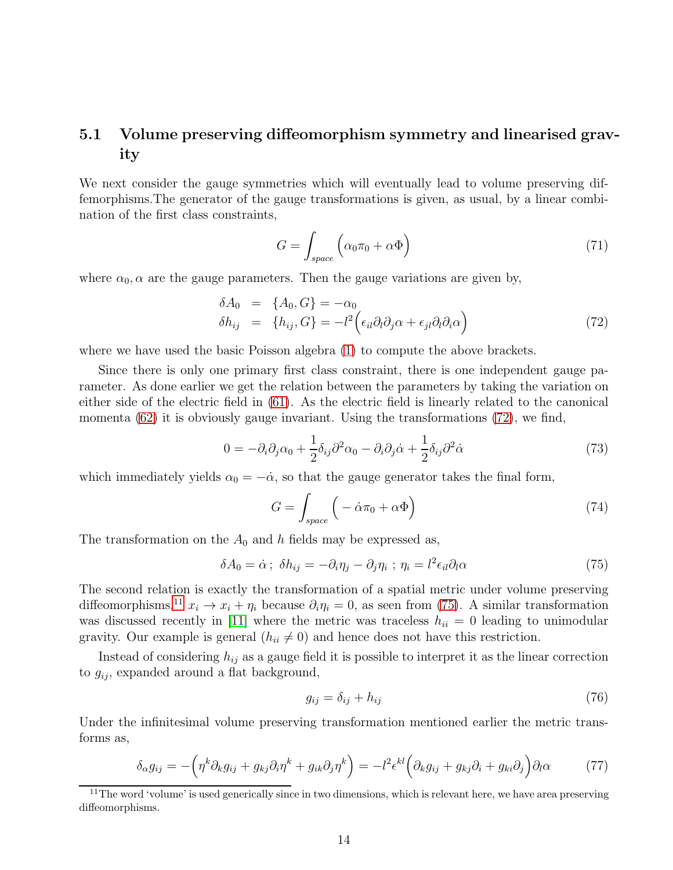### 5.1 Volume preserving diffeomorphism symmetry and linearised gravity

We next consider the gauge symmetries which will eventually lead to volume preserving diffemorphisms.The generator of the gauge transformations is given, as usual, by a linear combination of the first class constraints,

$$
G = \int_{space} \left( \alpha_0 \pi_0 + \alpha \Phi \right) \tag{71}
$$

where  $\alpha_0$ ,  $\alpha$  are the gauge parameters. Then the gauge variations are given by,

<span id="page-13-0"></span>
$$
\delta A_0 = \{A_0, G\} = -\alpha_0 \delta h_{ij} = \{h_{ij}, G\} = -l^2 \Big(\epsilon_{il}\partial_l\partial_j\alpha + \epsilon_{jl}\partial_l\partial_i\alpha\Big)
$$
\n(72)

where we have used the basic Poisson algebra [\(1\)](#page-2-1) to compute the above brackets.

Since there is only one primary first class constraint, there is one independent gauge parameter. As done earlier we get the relation between the parameters by taking the variation on either side of the electric field in [\(61\)](#page-12-0). As the electric field is linearly related to the canonical momenta  $(62)$  it is obviously gauge invariant. Using the transformations  $(72)$ , we find,

$$
0 = -\partial_i \partial_j \alpha_0 + \frac{1}{2} \delta_{ij} \partial^2 \alpha_0 - \partial_i \partial_j \dot{\alpha} + \frac{1}{2} \delta_{ij} \partial^2 \dot{\alpha} \tag{73}
$$

which immediately yields  $\alpha_0 = -\dot{\alpha}$ , so that the gauge generator takes the final form,

<span id="page-13-2"></span>
$$
G = \int_{space} \left( -\dot{\alpha}\pi_0 + \alpha\Phi \right) \tag{74}
$$

The transformation on the  $A_0$  and h fields may be expressed as,

$$
\delta A_0 = \dot{\alpha} ; \ \delta h_{ij} = -\partial_i \eta_j - \partial_j \eta_i ; \ \eta_i = l^2 \epsilon_{il} \partial_l \alpha \tag{75}
$$

The second relation is exactly the transformation of a spatial metric under volume preserving diffeomorphisms,<sup>[11](#page-13-1)</sup>  $x_i \to x_i + \eta_i$  because  $\partial_i \eta_i = 0$ , as seen from [\(75\)](#page-13-2). A similar transformation was discussed recently in [\[11\]](#page-20-5) where the metric was traceless  $h_{ii} = 0$  leading to unimodular gravity. Our example is general  $(h_{ii} \neq 0)$  and hence does not have this restriction.

Instead of considering  $h_{ij}$  as a gauge field it is possible to interpret it as the linear correction to  $g_{ij}$ , expanded around a flat background,

<span id="page-13-3"></span>
$$
g_{ij} = \delta_{ij} + h_{ij} \tag{76}
$$

Under the infinitesimal volume preserving transformation mentioned earlier the metric transforms as,

<span id="page-13-4"></span>
$$
\delta_{\alpha} g_{ij} = -\left(\eta^k \partial_k g_{ij} + g_{kj} \partial_i \eta^k + g_{ik} \partial_j \eta^k\right) = -l^2 \epsilon^{kl} \left(\partial_k g_{ij} + g_{kj} \partial_i + g_{ki} \partial_j\right) \partial_l \alpha \tag{77}
$$

<span id="page-13-1"></span><sup>&</sup>lt;sup>11</sup>The word 'volume' is used generically since in two dimensions, which is relevant here, we have area preserving diffeomorphisms.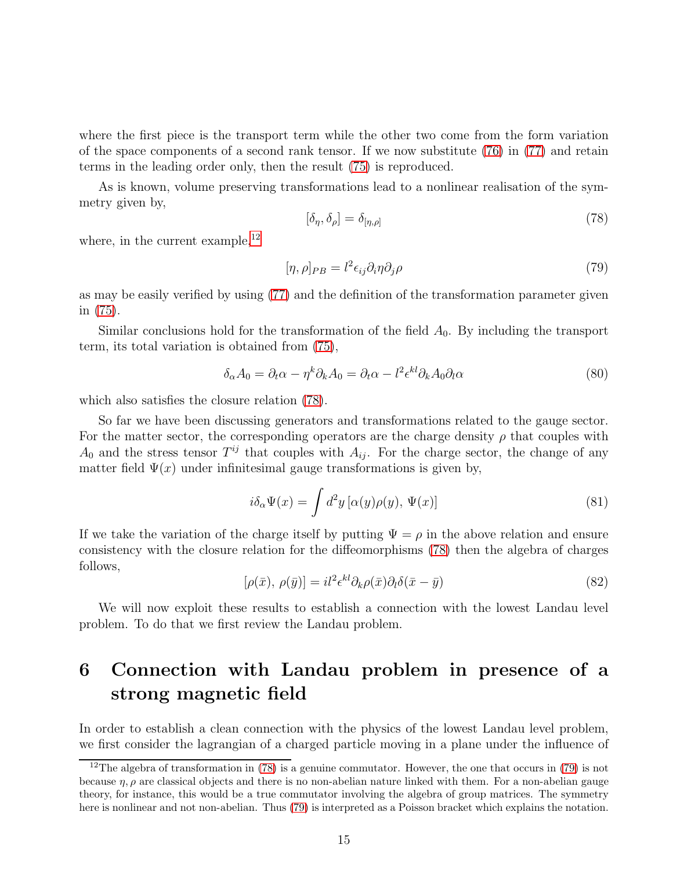where the first piece is the transport term while the other two come from the form variation of the space components of a second rank tensor. If we now substitute  $(76)$  in  $(77)$  and retain terms in the leading order only, then the result [\(75\)](#page-13-2) is reproduced.

<span id="page-14-1"></span>As is known, volume preserving transformations lead to a nonlinear realisation of the symmetry given by,

$$
[\delta_{\eta}, \delta_{\rho}] = \delta_{[\eta, \rho]} \tag{78}
$$

where, in the current example,  $^{12}$  $^{12}$  $^{12}$ 

<span id="page-14-2"></span>
$$
[\eta, \rho]_{PB} = l^2 \epsilon_{ij} \partial_i \eta \partial_j \rho \tag{79}
$$

as may be easily verified by using [\(77\)](#page-13-4) and the definition of the transformation parameter given in [\(75\)](#page-13-2).

Similar conclusions hold for the transformation of the field  $A_0$ . By including the transport term, its total variation is obtained from [\(75\)](#page-13-2),

$$
\delta_{\alpha} A_0 = \partial_t \alpha - \eta^k \partial_k A_0 = \partial_t \alpha - l^2 \epsilon^{kl} \partial_k A_0 \partial_l \alpha \tag{80}
$$

which also satisfies the closure relation [\(78\)](#page-14-1).

So far we have been discussing generators and transformations related to the gauge sector. For the matter sector, the corresponding operators are the charge density  $\rho$  that couples with  $A_0$  and the stress tensor  $T^{ij}$  that couples with  $A_{ij}$ . For the charge sector, the change of any matter field  $\Psi(x)$  under infinitesimal gauge transformations is given by,

$$
i\delta_{\alpha}\Psi(x) = \int d^2y \left[\alpha(y)\rho(y), \Psi(x)\right]
$$
\n(81)

<span id="page-14-3"></span>If we take the variation of the charge itself by putting  $\Psi = \rho$  in the above relation and ensure consistency with the closure relation for the diffeomorphisms [\(78\)](#page-14-1) then the algebra of charges follows,

$$
[\rho(\bar{x}), \rho(\bar{y})] = il^2 \epsilon^{kl} \partial_k \rho(\bar{x}) \partial_l \delta(\bar{x} - \bar{y})
$$
\n(82)

We will now exploit these results to establish a connection with the lowest Landau level problem. To do that we first review the Landau problem.

# 6 Connection with Landau problem in presence of a strong magnetic field

In order to establish a clean connection with the physics of the lowest Landau level problem, we first consider the lagrangian of a charged particle moving in a plane under the influence of

<span id="page-14-0"></span><sup>&</sup>lt;sup>12</sup>The algebra of transformation in [\(78\)](#page-14-1) is a genuine commutator. However, the one that occurs in [\(79\)](#page-14-2) is not because  $\eta$ ,  $\rho$  are classical objects and there is no non-abelian nature linked with them. For a non-abelian gauge theory, for instance, this would be a true commutator involving the algebra of group matrices. The symmetry here is nonlinear and not non-abelian. Thus [\(79\)](#page-14-2) is interpreted as a Poisson bracket which explains the notation.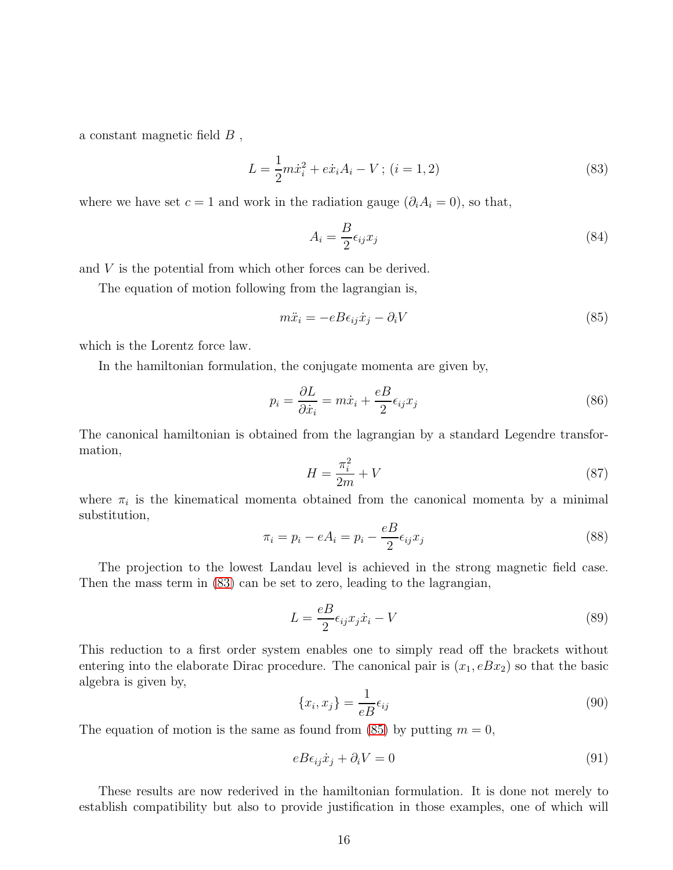a constant magnetic field  $B$ ,

<span id="page-15-0"></span>
$$
L = \frac{1}{2}m\dot{x}_i^2 + e\dot{x}_i A_i - V; (i = 1, 2)
$$
\n(83)

where we have set  $c = 1$  and work in the radiation gauge  $(\partial_i A_i = 0)$ , so that,

<span id="page-15-1"></span>
$$
A_i = \frac{B}{2} \epsilon_{ij} x_j \tag{84}
$$

and V is the potential from which other forces can be derived.

The equation of motion following from the lagrangian is,

$$
m\ddot{x}_i = -eB\epsilon_{ij}\dot{x}_j - \partial_i V\tag{85}
$$

which is the Lorentz force law.

In the hamiltonian formulation, the conjugate momenta are given by,

$$
p_i = \frac{\partial L}{\partial \dot{x}_i} = m\dot{x}_i + \frac{e}{2} \epsilon_{ij} x_j \tag{86}
$$

<span id="page-15-5"></span>The canonical hamiltonian is obtained from the lagrangian by a standard Legendre transformation,

<span id="page-15-6"></span>
$$
H = \frac{\pi_i^2}{2m} + V \tag{87}
$$

<span id="page-15-7"></span>where  $\pi_i$  is the kinematical momenta obtained from the canonical momenta by a minimal substitution,

$$
\pi_i = p_i - eA_i = p_i - \frac{eB}{2} \epsilon_{ij} x_j \tag{88}
$$

The projection to the lowest Landau level is achieved in the strong magnetic field case. Then the mass term in [\(83\)](#page-15-0) can be set to zero, leading to the lagrangian,

<span id="page-15-2"></span>
$$
L = \frac{eB}{2} \epsilon_{ij} x_j \dot{x}_i - V \tag{89}
$$

This reduction to a first order system enables one to simply read off the brackets without entering into the elaborate Dirac procedure. The canonical pair is  $(x_1, eBx_2)$  so that the basic algebra is given by,

<span id="page-15-4"></span><span id="page-15-3"></span>
$$
\{x_i, x_j\} = \frac{1}{eB} \epsilon_{ij} \tag{90}
$$

The equation of motion is the same as found from [\(85\)](#page-15-1) by putting  $m = 0$ ,

$$
eB\epsilon_{ij}\dot{x}_j + \partial_i V = 0\tag{91}
$$

These results are now rederived in the hamiltonian formulation. It is done not merely to establish compatibility but also to provide justification in those examples, one of which will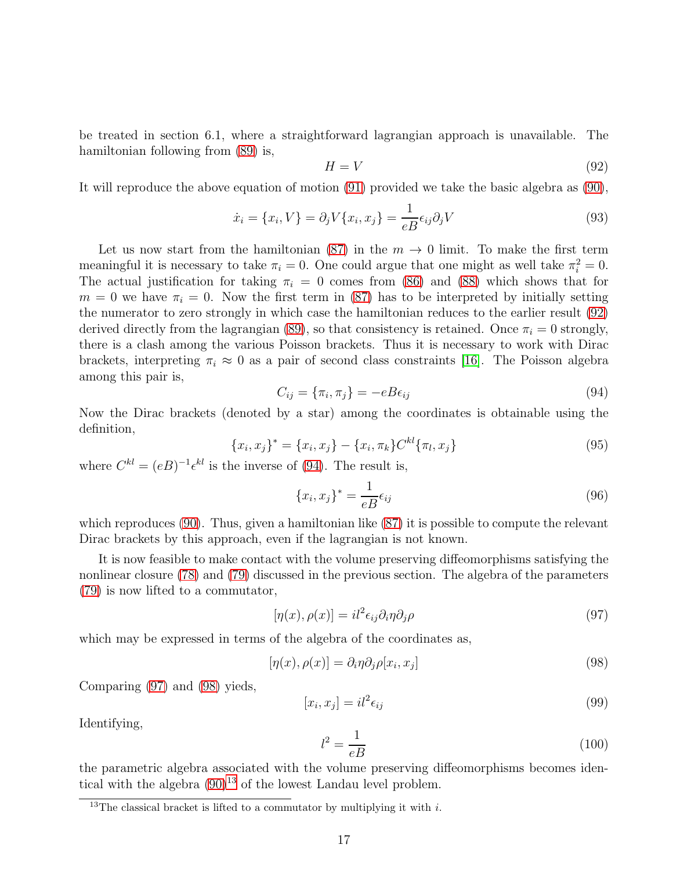be treated in section 6.1, where a straightforward lagrangian approach is unavailable. The hamiltonian following from [\(89\)](#page-15-2) is,

<span id="page-16-7"></span><span id="page-16-0"></span>
$$
H = V \tag{92}
$$

It will reproduce the above equation of motion [\(91\)](#page-15-3) provided we take the basic algebra as [\(90\)](#page-15-4),

$$
\dot{x}_i = \{x_i, V\} = \partial_j V \{x_i, x_j\} = \frac{1}{eB} \epsilon_{ij} \partial_j V \tag{93}
$$

Let us now start from the hamiltonian [\(87\)](#page-15-5) in the  $m \to 0$  limit. To make the first term meaningful it is necessary to take  $\pi_i = 0$ . One could argue that one might as well take  $\pi_i^2 = 0$ . The actual justification for taking  $\pi_i = 0$  comes from [\(86\)](#page-15-6) and [\(88\)](#page-15-7) which shows that for  $m = 0$  we have  $\pi_i = 0$ . Now the first term in [\(87\)](#page-15-5) has to be interpreted by initially setting the numerator to zero strongly in which case the hamiltonian reduces to the earlier result [\(92\)](#page-16-0) derived directly from the lagrangian [\(89\)](#page-15-2), so that consistency is retained. Once  $\pi_i = 0$  strongly, there is a clash among the various Poisson brackets. Thus it is necessary to work with Dirac brackets, interpreting  $\pi_i \approx 0$  as a pair of second class constraints [\[16\]](#page-20-10). The Poisson algebra among this pair is,

$$
C_{ij} = \{\pi_i, \pi_j\} = -eBe_{ij}
$$
\n
$$
(94)
$$

Now the Dirac brackets (denoted by a star) among the coordinates is obtainable using the definition,

<span id="page-16-1"></span>
$$
\{x_i, x_j\}^* = \{x_i, x_j\} - \{x_i, \pi_k\} C^{kl} \{\pi_l, x_j\}
$$
\n(95)

where  $C^{kl} = (eB)^{-1} \epsilon^{kl}$  is the inverse of [\(94\)](#page-16-1). The result is,

<span id="page-16-5"></span>
$$
\{x_i, x_j\}^* = \frac{1}{eB} \epsilon_{ij} \tag{96}
$$

which reproduces [\(90\)](#page-15-4). Thus, given a hamiltonian like [\(87\)](#page-15-5) it is possible to compute the relevant Dirac brackets by this approach, even if the lagrangian is not known.

It is now feasible to make contact with the volume preserving diffeomorphisms satisfying the nonlinear closure [\(78\)](#page-14-1) and [\(79\)](#page-14-2) discussed in the previous section. The algebra of the parameters [\(79\)](#page-14-2) is now lifted to a commutator,

<span id="page-16-2"></span>
$$
[\eta(x), \rho(x)] = il^2 \epsilon_{ij} \partial_i \eta \partial_j \rho \tag{97}
$$

which may be expressed in terms of the algebra of the coordinates as,

$$
[\eta(x), \rho(x)] = \partial_i \eta \partial_j \rho[x_i, x_j]
$$
\n(98)

Comparing [\(97\)](#page-16-2) and [\(98\)](#page-16-3) yieds,

$$
[x_i, x_j] = il^2 \epsilon_{ij} \tag{99}
$$

<span id="page-16-6"></span>Identifying,

<span id="page-16-3"></span>
$$
l^2 = \frac{1}{eB} \tag{100}
$$

the parametric algebra associated with the volume preserving diffeomorphisms becomes identical with the algebra  $(90)^{13}$  $(90)^{13}$  $(90)^{13}$  of the lowest Landau level problem.

<span id="page-16-4"></span><sup>&</sup>lt;sup>13</sup>The classical bracket is lifted to a commutator by multiplying it with i.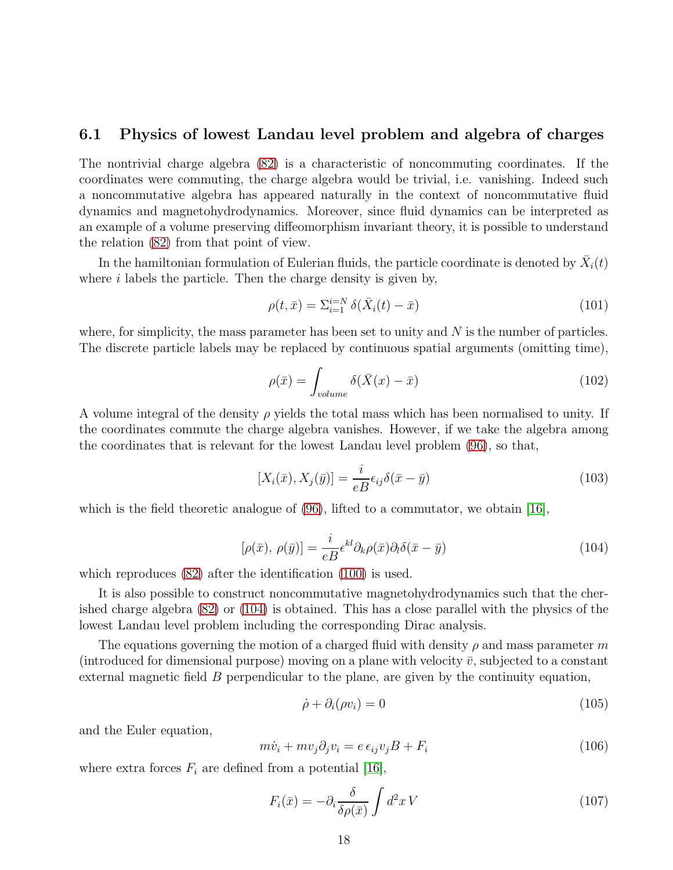### 6.1 Physics of lowest Landau level problem and algebra of charges

The nontrivial charge algebra [\(82\)](#page-14-3) is a characteristic of noncommuting coordinates. If the coordinates were commuting, the charge algebra would be trivial, i.e. vanishing. Indeed such a noncommutative algebra has appeared naturally in the context of noncommutative fluid dynamics and magnetohydrodynamics. Moreover, since fluid dynamics can be interpreted as an example of a volume preserving diffeomorphism invariant theory, it is possible to understand the relation [\(82\)](#page-14-3) from that point of view.

In the hamiltonian formulation of Eulerian fluids, the particle coordinate is denoted by  $\bar{X}_i(t)$ where  $i$  labels the particle. Then the charge density is given by,

$$
\rho(t,\bar{x}) = \sum_{i=1}^{i=N} \delta(\bar{X}_i(t) - \bar{x})
$$
\n(101)

where, for simplicity, the mass parameter has been set to unity and  $N$  is the number of particles. The discrete particle labels may be replaced by continuous spatial arguments (omitting time),

$$
\rho(\bar{x}) = \int_{volume} \delta(\bar{X}(x) - \bar{x}) \tag{102}
$$

A volume integral of the density  $\rho$  yields the total mass which has been normalised to unity. If the coordinates commute the charge algebra vanishes. However, if we take the algebra among the coordinates that is relevant for the lowest Landau level problem [\(96\)](#page-16-5), so that,

$$
[X_i(\bar{x}), X_j(\bar{y})] = \frac{i}{eB} \epsilon_{ij} \delta(\bar{x} - \bar{y})
$$
\n(103)

<span id="page-17-0"></span>which is the field theoretic analogue of  $(96)$ , lifted to a commutator, we obtain [\[16\]](#page-20-10),

$$
[\rho(\bar{x}), \rho(\bar{y})] = \frac{i}{eB} \epsilon^{kl} \partial_k \rho(\bar{x}) \partial_l \delta(\bar{x} - \bar{y})
$$
\n(104)

which reproduces  $(82)$  after the identification  $(100)$  is used.

It is also possible to construct noncommutative magnetohydrodynamics such that the cherished charge algebra [\(82\)](#page-14-3) or [\(104\)](#page-17-0) is obtained. This has a close parallel with the physics of the lowest Landau level problem including the corresponding Dirac analysis.

The equations governing the motion of a charged fluid with density  $\rho$  and mass parameter m (introduced for dimensional purpose) moving on a plane with velocity  $\bar{v}$ , subjected to a constant external magnetic field  $B$  perpendicular to the plane, are given by the continuity equation,

<span id="page-17-1"></span>
$$
\dot{\rho} + \partial_i(\rho v_i) = 0 \tag{105}
$$

and the Euler equation,

<span id="page-17-2"></span>
$$
m\dot{v}_i + m v_j \partial_j v_i = e \epsilon_{ij} v_j B + F_i \tag{106}
$$

where extra forces  $F_i$  are defined from a potential [\[16\]](#page-20-10),

$$
F_i(\bar{x}) = -\partial_i \frac{\delta}{\delta \rho(\bar{x})} \int d^2 x \, V \tag{107}
$$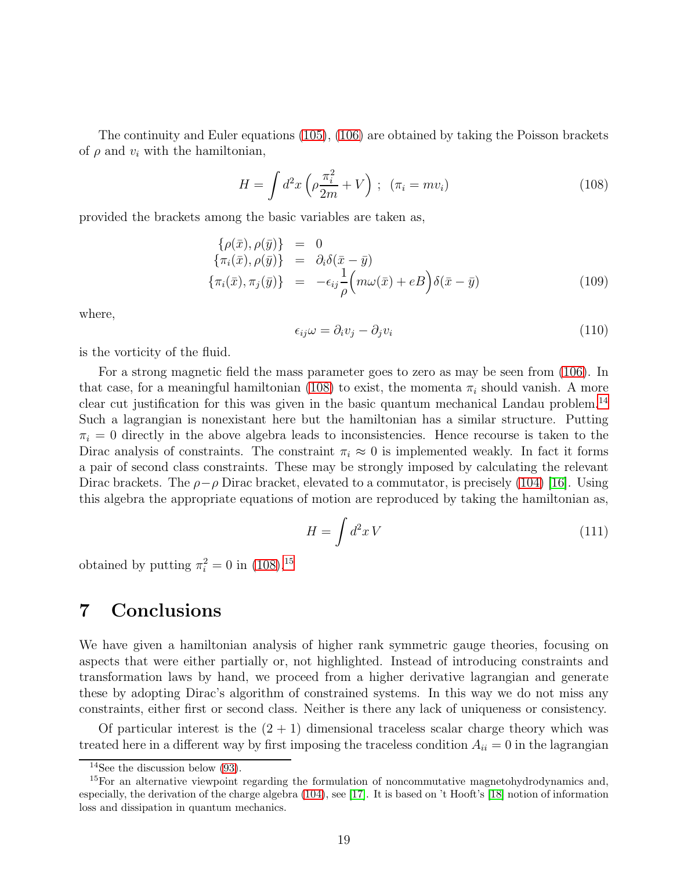The continuity and Euler equations [\(105\)](#page-17-1), [\(106\)](#page-17-2) are obtained by taking the Poisson brackets of  $\rho$  and  $v_i$  with the hamiltonian,

<span id="page-18-0"></span>
$$
H = \int d^2x \left(\rho \frac{\pi_i^2}{2m} + V\right) ; \quad (\pi_i = mv_i)
$$
\n(108)

provided the brackets among the basic variables are taken as,

$$
\begin{array}{rcl}\n\{\rho(\bar{x}), \rho(\bar{y})\} & = & 0 \\
\{\pi_i(\bar{x}), \rho(\bar{y})\} & = & \partial_i \delta(\bar{x} - \bar{y}) \\
\{\pi_i(\bar{x}), \pi_j(\bar{y})\} & = & -\epsilon_{ij} \frac{1}{\rho} \left( m\omega(\bar{x}) + eB \right) \delta(\bar{x} - \bar{y})\n\end{array} \tag{109}
$$

where,

$$
\epsilon_{ij}\omega = \partial_i v_j - \partial_j v_i \tag{110}
$$

is the vorticity of the fluid.

For a strong magnetic field the mass parameter goes to zero as may be seen from [\(106\)](#page-17-2). In that case, for a meaningful hamiltonian [\(108\)](#page-18-0) to exist, the momenta  $\pi_i$  should vanish. A more clear cut justification for this was given in the basic quantum mechanical Landau problem.[14](#page-18-1) Such a lagrangian is nonexistant here but the hamiltonian has a similar structure. Putting  $\pi_i = 0$  directly in the above algebra leads to inconsistencies. Hence recourse is taken to the Dirac analysis of constraints. The constraint  $\pi_i \approx 0$  is implemented weakly. In fact it forms a pair of second class constraints. These may be strongly imposed by calculating the relevant Dirac brackets. The  $\rho - \rho$  Dirac bracket, elevated to a commutator, is precisely [\(104\)](#page-17-0) [\[16\]](#page-20-10). Using this algebra the appropriate equations of motion are reproduced by taking the hamiltonian as,

$$
H = \int d^2x \, V \tag{111}
$$

obtained by putting  $\pi_i^2 = 0$  in  $(108)^{15}$  $(108)^{15}$  $(108)^{15}$ 

## 7 Conclusions

We have given a hamiltonian analysis of higher rank symmetric gauge theories, focusing on aspects that were either partially or, not highlighted. Instead of introducing constraints and transformation laws by hand, we proceed from a higher derivative lagrangian and generate these by adopting Dirac's algorithm of constrained systems. In this way we do not miss any constraints, either first or second class. Neither is there any lack of uniqueness or consistency.

Of particular interest is the  $(2 + 1)$  dimensional traceless scalar charge theory which was treated here in a different way by first imposing the traceless condition  $A_{ii} = 0$  in the lagrangian

<span id="page-18-1"></span><sup>&</sup>lt;sup>14</sup>See the discussion below  $(93)$ .

<span id="page-18-2"></span> $15$ For an alternative viewpoint regarding the formulation of noncommutative magnetohydrodynamics and, especially, the derivation of the charge algebra [\(104\)](#page-17-0), see [\[17\]](#page-20-11). It is based on 't Hooft's [\[18\]](#page-20-12) notion of information loss and dissipation in quantum mechanics.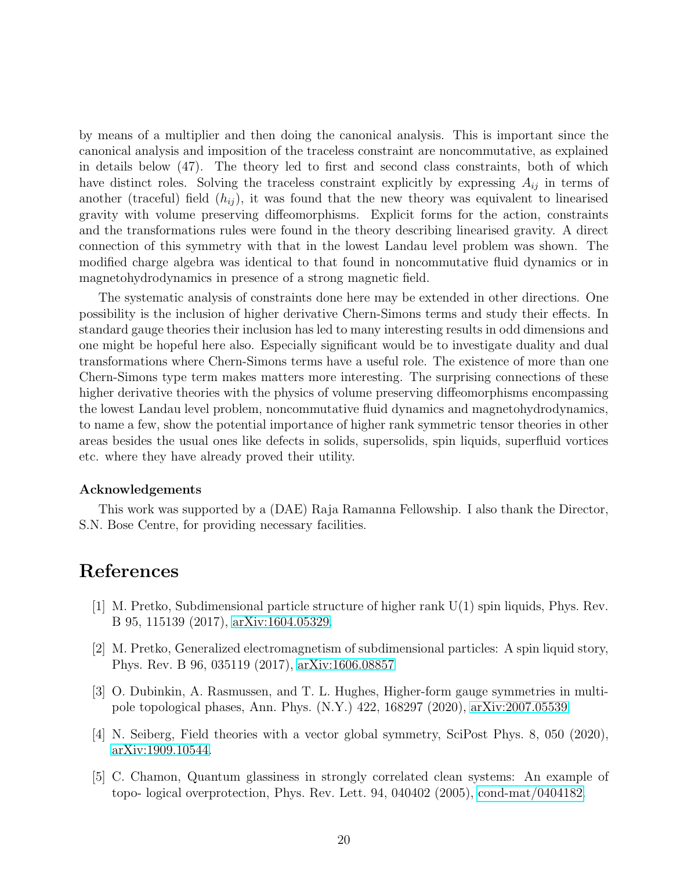by means of a multiplier and then doing the canonical analysis. This is important since the canonical analysis and imposition of the traceless constraint are noncommutative, as explained in details below (47). The theory led to first and second class constraints, both of which have distinct roles. Solving the traceless constraint explicitly by expressing  $A_{ij}$  in terms of another (traceful) field  $(h_{ij})$ , it was found that the new theory was equivalent to linearised gravity with volume preserving diffeomorphisms. Explicit forms for the action, constraints and the transformations rules were found in the theory describing linearised gravity. A direct connection of this symmetry with that in the lowest Landau level problem was shown. The modified charge algebra was identical to that found in noncommutative fluid dynamics or in magnetohydrodynamics in presence of a strong magnetic field.

The systematic analysis of constraints done here may be extended in other directions. One possibility is the inclusion of higher derivative Chern-Simons terms and study their effects. In standard gauge theories their inclusion has led to many interesting results in odd dimensions and one might be hopeful here also. Especially significant would be to investigate duality and dual transformations where Chern-Simons terms have a useful role. The existence of more than one Chern-Simons type term makes matters more interesting. The surprising connections of these higher derivative theories with the physics of volume preserving diffeomorphisms encompassing the lowest Landau level problem, noncommutative fluid dynamics and magnetohydrodynamics, to name a few, show the potential importance of higher rank symmetric tensor theories in other areas besides the usual ones like defects in solids, supersolids, spin liquids, superfluid vortices etc. where they have already proved their utility.

#### Acknowledgements

This work was supported by a (DAE) Raja Ramanna Fellowship. I also thank the Director, S.N. Bose Centre, for providing necessary facilities.

## <span id="page-19-0"></span>References

- <span id="page-19-1"></span>[1] M. Pretko, Subdimensional particle structure of higher rank U(1) spin liquids, Phys. Rev. B 95, 115139 (2017), [arXiv:1604.05329.](http://arxiv.org/abs/1604.05329)
- [2] M. Pretko, Generalized electromagnetism of subdimensional particles: A spin liquid story, Phys. Rev. B 96, 035119 (2017), [arXiv:1606.08857](http://arxiv.org/abs/1606.08857)
- <span id="page-19-2"></span>[3] O. Dubinkin, A. Rasmussen, and T. L. Hughes, Higher-form gauge symmetries in multipole topological phases, Ann. Phys. (N.Y.) 422, 168297 (2020), [arXiv:2007.05539.](http://arxiv.org/abs/2007.05539)
- <span id="page-19-4"></span><span id="page-19-3"></span>[4] N. Seiberg, Field theories with a vector global symmetry, SciPost Phys. 8, 050 (2020), [arXiv:1909.10544.](http://arxiv.org/abs/1909.10544)
- [5] C. Chamon, Quantum glassiness in strongly correlated clean systems: An example of topo- logical overprotection, Phys. Rev. Lett. 94, 040402 (2005), [cond-mat/0404182.](http://arxiv.org/abs/cond-mat/0404182)